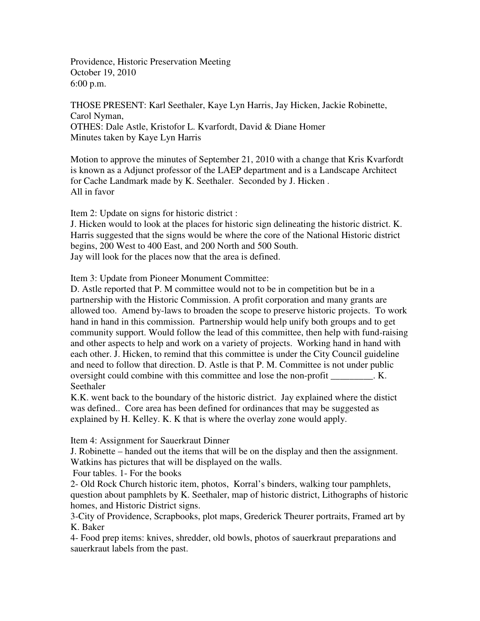Providence, Historic Preservation Meeting October 19, 2010 6:00 p.m.

THOSE PRESENT: Karl Seethaler, Kaye Lyn Harris, Jay Hicken, Jackie Robinette, Carol Nyman, OTHES: Dale Astle, Kristofor L. Kvarfordt, David & Diane Homer Minutes taken by Kaye Lyn Harris

Motion to approve the minutes of September 21, 2010 with a change that Kris Kvarfordt is known as a Adjunct professor of the LAEP department and is a Landscape Architect for Cache Landmark made by K. Seethaler. Seconded by J. Hicken . All in favor

Item 2: Update on signs for historic district :

J. Hicken would to look at the places for historic sign delineating the historic district. K. Harris suggested that the signs would be where the core of the National Historic district begins, 200 West to 400 East, and 200 North and 500 South. Jay will look for the places now that the area is defined.

Item 3: Update from Pioneer Monument Committee:

D. Astle reported that P. M committee would not to be in competition but be in a partnership with the Historic Commission. A profit corporation and many grants are allowed too. Amend by-laws to broaden the scope to preserve historic projects. To work hand in hand in this commission. Partnership would help unify both groups and to get community support. Would follow the lead of this committee, then help with fund-raising and other aspects to help and work on a variety of projects. Working hand in hand with each other. J. Hicken, to remind that this committee is under the City Council guideline and need to follow that direction. D. Astle is that P. M. Committee is not under public oversight could combine with this committee and lose the non-profit . K. Seethaler

K.K. went back to the boundary of the historic district. Jay explained where the distict was defined.. Core area has been defined for ordinances that may be suggested as explained by H. Kelley. K. K that is where the overlay zone would apply.

Item 4: Assignment for Sauerkraut Dinner

J. Robinette – handed out the items that will be on the display and then the assignment. Watkins has pictures that will be displayed on the walls.

Four tables. 1- For the books

2- Old Rock Church historic item, photos, Korral's binders, walking tour pamphlets, question about pamphlets by K. Seethaler, map of historic district, Lithographs of historic homes, and Historic District signs.

3-City of Providence, Scrapbooks, plot maps, Grederick Theurer portraits, Framed art by K. Baker

4- Food prep items: knives, shredder, old bowls, photos of sauerkraut preparations and sauerkraut labels from the past.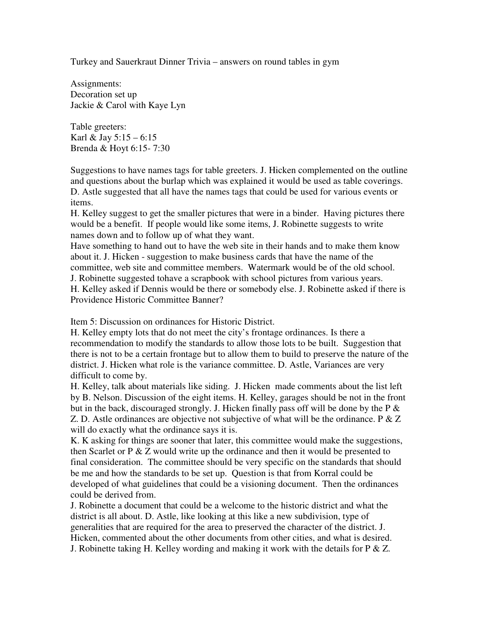Turkey and Sauerkraut Dinner Trivia – answers on round tables in gym

Assignments: Decoration set up Jackie & Carol with Kaye Lyn

Table greeters: Karl & Jay  $5:15 - 6:15$ Brenda & Hoyt 6:15- 7:30

Suggestions to have names tags for table greeters. J. Hicken complemented on the outline and questions about the burlap which was explained it would be used as table coverings. D. Astle suggested that all have the names tags that could be used for various events or items.

H. Kelley suggest to get the smaller pictures that were in a binder. Having pictures there would be a benefit. If people would like some items, J. Robinette suggests to write names down and to follow up of what they want.

Have something to hand out to have the web site in their hands and to make them know about it. J. Hicken - suggestion to make business cards that have the name of the committee, web site and committee members. Watermark would be of the old school. J. Robinette suggested tohave a scrapbook with school pictures from various years. H. Kelley asked if Dennis would be there or somebody else. J. Robinette asked if there is Providence Historic Committee Banner?

Item 5: Discussion on ordinances for Historic District.

H. Kelley empty lots that do not meet the city's frontage ordinances. Is there a recommendation to modify the standards to allow those lots to be built. Suggestion that there is not to be a certain frontage but to allow them to build to preserve the nature of the district. J. Hicken what role is the variance committee. D. Astle, Variances are very difficult to come by.

H. Kelley, talk about materials like siding. J. Hicken made comments about the list left by B. Nelson. Discussion of the eight items. H. Kelley, garages should be not in the front but in the back, discouraged strongly. J. Hicken finally pass off will be done by the  $P \&$ Z. D. Astle ordinances are objective not subjective of what will be the ordinance.  $P \& Z$ will do exactly what the ordinance says it is.

K. K asking for things are sooner that later, this committee would make the suggestions, then Scarlet or  $P \& Z$  would write up the ordinance and then it would be presented to final consideration. The committee should be very specific on the standards that should be me and how the standards to be set up. Question is that from Korral could be developed of what guidelines that could be a visioning document. Then the ordinances could be derived from.

J. Robinette a document that could be a welcome to the historic district and what the district is all about. D. Astle, like looking at this like a new subdivision, type of generalities that are required for the area to preserved the character of the district. J. Hicken, commented about the other documents from other cities, and what is desired. J. Robinette taking H. Kelley wording and making it work with the details for  $P \& Z$ .